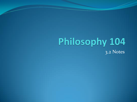#### Philosophy 104 3.2 Notes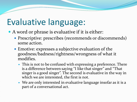#### Evaluative language:

- A word or phrase is evaluative if it is either:
	- Prescriptive: prescribes (recommends or discommends) some action.
	- Emotive: expresses a subjective evaluation of the goodness/badness/rightness/wrongness of what it modifies.
		- This is not to be confused with expressing a preference. There is a difference between saying "I like that singer" and "That singer is a good singer". The second is evaluative in the way in which we are interested, the first is not.
		- We are only interested in evaluative language insofar as it is a part of a conversational act.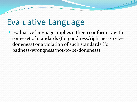#### Evaluative Language

 Evaluative language implies either a conformity with some set of standards (for goodness/rightness/to-bedoneness) or a violation of such standards (for badness/wrongness/not-to-be-doneness)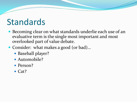#### Standards

- Becoming clear on what standards underlie each use of an evaluative term is the single most important and most overlooked part of value debate.
- Consider: what makes a good (or bad)...
	- Baseball player?
	- Automobile?
	- Person?
	- $\bullet$  Cat?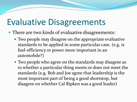#### Evaluative Disagreements

- There are two kinds of evaluative disagreements:
	- Two people may disagree on the appropriate evaluative standards to be applied in some particular case. (e.g. is fuel-efficiency or power more important in an automobile?)
	- Two people who agree on the standards may disagree as to whether a particular thing meets or does not meet the standards (e.g. Bob and Joe agree that leadership is the most important part of being a good shortstop, but disagree on whether Cal Ripken was a good leader)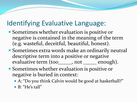#### Identifying Evaluative Language:

- Sometimes whether evaluation is positive or negative is contained in the meaning of the term (e.g. wasteful, deceitful, beautiful, honest).
- Sometimes extra words make an ordinarily neutral descriptive term into a positive or negative evaluative term (too\_equality not contained applicative term (too\_quadity not contain the enough).
- Sometimes whether evaluation is positive or negative is buried in context:
	- A: "Do you think Calvin would be good at basketball?"
	- B: "He's tall"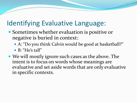#### Identifying Evaluative Language:

- Sometimes whether evaluation is positive or negative is buried in context:
	- A: "Do you think Calvin would be good at basketball?"
	- B: "He's tall"
- We will mostly ignore such cases as the above. The intent is to focus on words whose meanings are evaluative and set aside words that are only evaluative in specific contexts.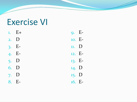## Exercise VI

|        | $1. E+$  | 9. E      |  |
|--------|----------|-----------|--|
| $2.$ D |          | 10. E     |  |
|        | $3. E -$ | $n.$ D    |  |
|        | 4. E-    | $12. F -$ |  |
| 5. D   |          | 13. E-    |  |
| 6. D   |          | 14. D     |  |
| 7. D   |          | $15.$ D   |  |
|        | 8. E-    | 16. E-    |  |

9. E-10. E-12. E-13. E-16. E-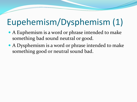### Eupehemism/Dysphemism (1)

- A Euphemism is a word or phrase intended to make something bad sound neutral or good.
- A Dysphemism is a word or phrase intended to make something good or neutral sound bad.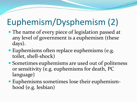# Euphemism/Dysphemism (2)

- The name of every piece of legislation passed at any level of government is a euphemism (these days).
- Euphemisms often replace euphemisms (e.g. toilet, shell-shock)
- Sometimes euphemisms are used out of politeness or sensitivity (e.g. euphemisms for death, PC language)
- Euphemisms sometimes lose their euphemismhood (e.g. lesbian)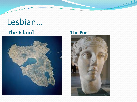# Lesbian…

#### **The Island The Poet**



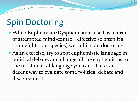### Spin Doctoring

- When Euphemism/Dysphemism is used as a form of attempted mind-control (effective so often it's shameful to our species) we call it spin doctoring
- As an exercise, try to spot euphemistic language in political debate, and change all the euphemisms to the most neutral language you can. This is a decent way to evaluate some political debate and disagreement.